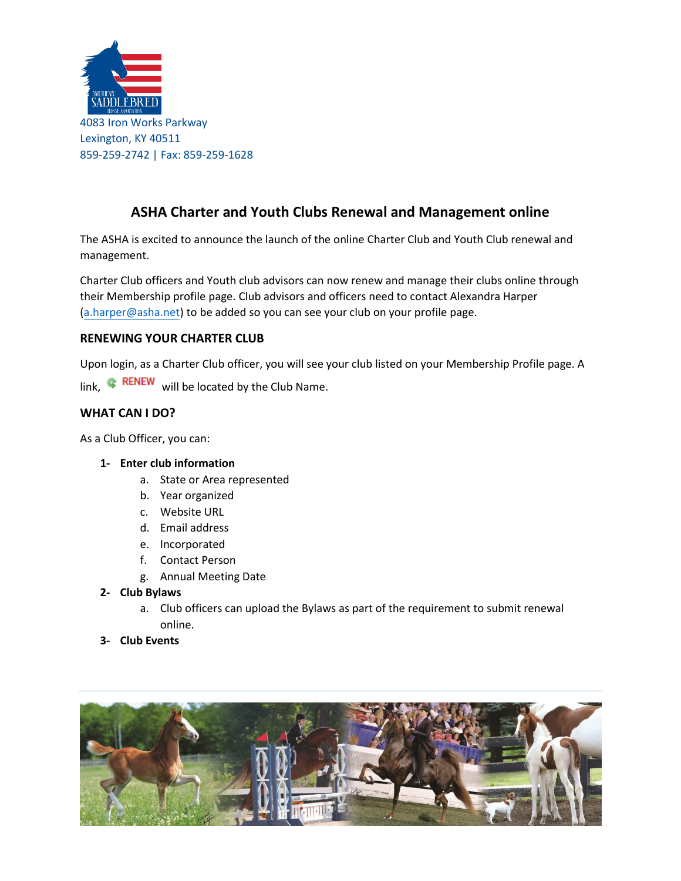

# **ASHA Charter and Youth Clubs Renewal and Management online**

The ASHA is excited to announce the launch of the online Charter Club and Youth Club renewal and management.

Charter Club officers and Youth club advisors can now renew and manage their clubs online through their Membership profile page. Club advisors and officers need to contact Alexandra Harper (a.harper[@asha.net\)](mailto:b.newell@asha.net) to be added so you can see your club on your profile page.

### **RENEWING YOUR CHARTER CLUB**

Upon login, as a Charter Club officer, you will see your club listed on your Membership Profile page. A

link,  $\mathbb{R}$  RENEW will be located by the Club Name.

# **WHAT CAN I DO?**

As a Club Officer, you can:

#### **1- Enter club information**

- a. State or Area represented
- b. Year organized
- c. Website URL
- d. Email address
- e. Incorporated
- f. Contact Person
- g. Annual Meeting Date

### **2- Club Bylaws**

- a. Club officers can upload the Bylaws as part of the requirement to submit renewal online.
- **3- Club Events**

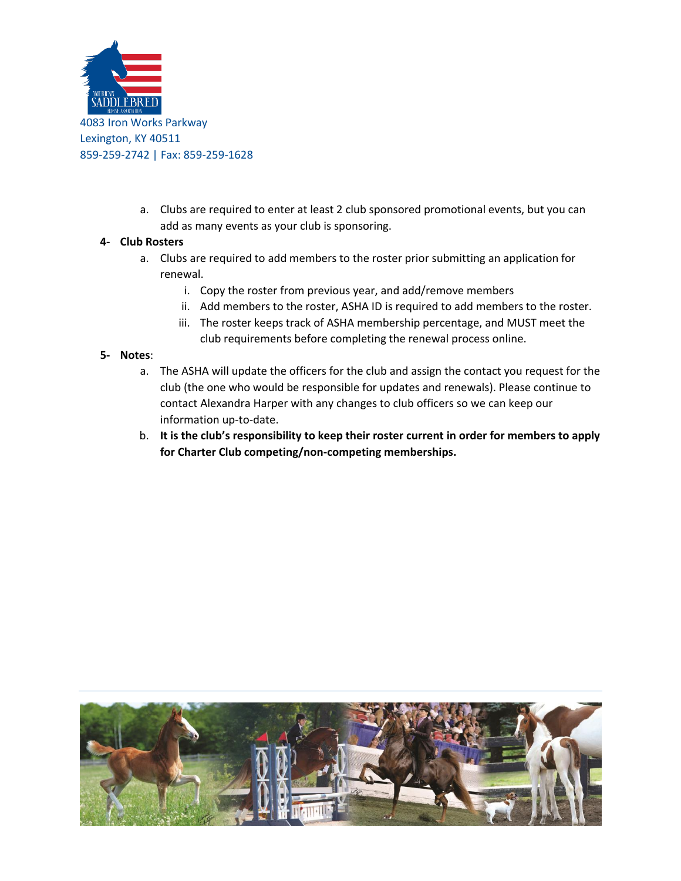

a. Clubs are required to enter at least 2 club sponsored promotional events, but you can add as many events as your club is sponsoring.

### **4- Club Rosters**

- a. Clubs are required to add members to the roster prior submitting an application for renewal.
	- i. Copy the roster from previous year, and add/remove members
	- ii. Add members to the roster, ASHA ID is required to add members to the roster.
	- iii. The roster keeps track of ASHA membership percentage, and MUST meet the club requirements before completing the renewal process online.

#### **5- Notes**:

- a. The ASHA will update the officers for the club and assign the contact you request for the club (the one who would be responsible for updates and renewals). Please continue to contact Alexandra Harper with any changes to club officers so we can keep our information up-to-date.
- b. **It is the club's responsibility to keep their roster current in order for members to apply for Charter Club competing/non-competing memberships.**

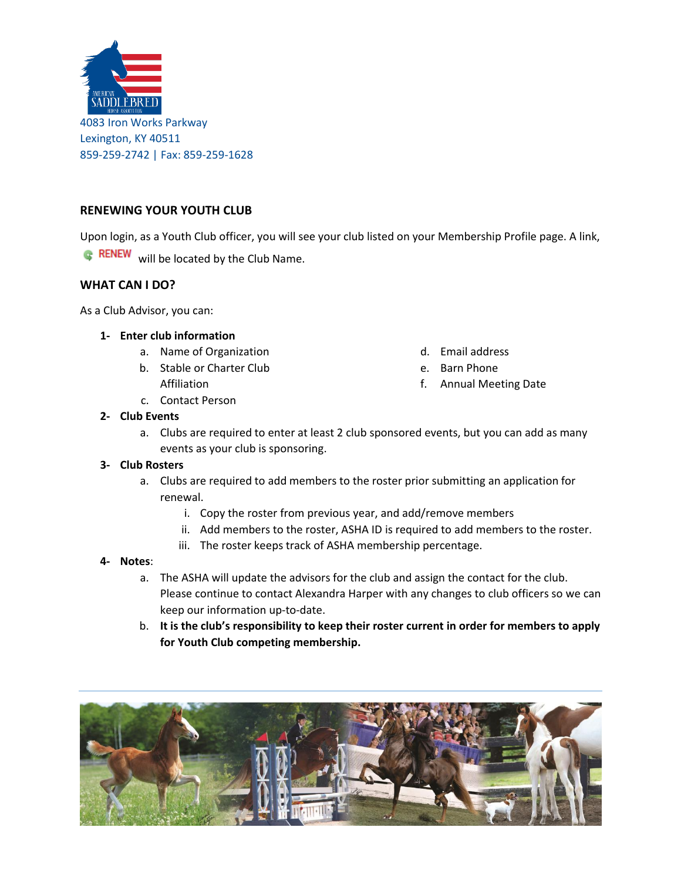

### **RENEWING YOUR YOUTH CLUB**

Upon login, as a Youth Club officer, you will see your club listed on your Membership Profile page. A link,

**RENEW** will be located by the Club Name.

### **WHAT CAN I DO?**

As a Club Advisor, you can:

#### **1- Enter club information**

- a. Name of Organization
- b. Stable or Charter Club Affiliation
- c. Contact Person
- **2- Club Events**
	- a. Clubs are required to enter at least 2 club sponsored events, but you can add as many events as your club is sponsoring.

#### **3- Club Rosters**

- a. Clubs are required to add members to the roster prior submitting an application for renewal.
	- i. Copy the roster from previous year, and add/remove members
	- ii. Add members to the roster, ASHA ID is required to add members to the roster.

d. Email address e. Barn Phone

f. Annual Meeting Date

iii. The roster keeps track of ASHA membership percentage.

#### **4- Notes**:

- a. The ASHA will update the advisors for the club and assign the contact for the club. Please continue to contact Alexandra Harper with any changes to club officers so we can keep our information up-to-date.
- b. **It is the club's responsibility to keep their roster current in order for members to apply for Youth Club competing membership.**

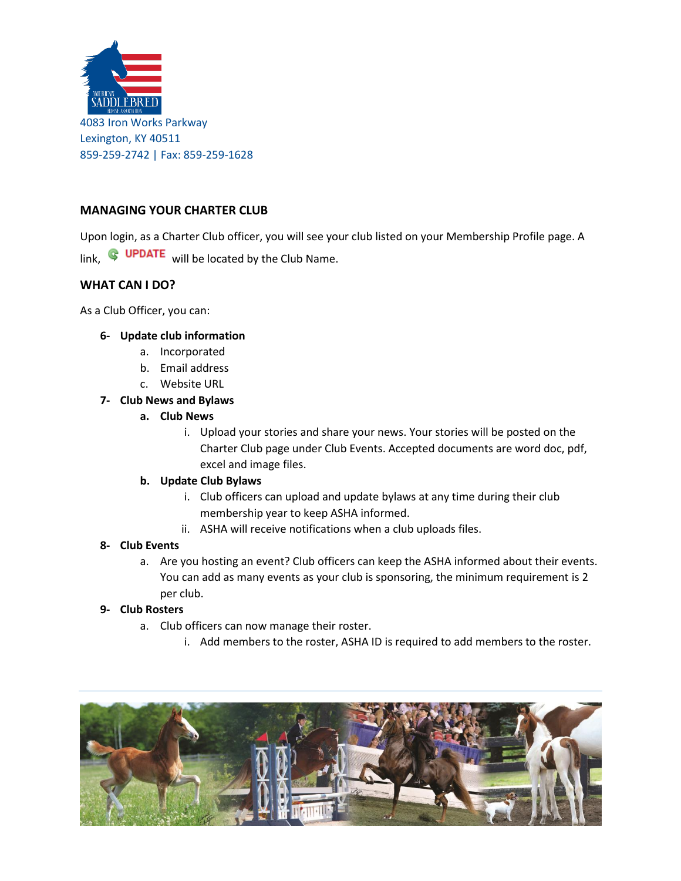

# **MANAGING YOUR CHARTER CLUB**

Upon login, as a Charter Club officer, you will see your club listed on your Membership Profile page. A link,  $\bigcirc$  UPDATE will be located by the Club Name.

# **WHAT CAN I DO?**

As a Club Officer, you can:

#### **6- Update club information**

- a. Incorporated
- b. Email address
- c. Website URL

### **7- Club News and Bylaws**

### **a. Club News**

i. Upload your stories and share your news. Your stories will be posted on the Charter Club page under Club Events. Accepted documents are word doc, pdf, excel and image files.

#### **b. Update Club Bylaws**

- i. Club officers can upload and update bylaws at any time during their club membership year to keep ASHA informed.
- ii. ASHA will receive notifications when a club uploads files.

#### **8- Club Events**

a. Are you hosting an event? Club officers can keep the ASHA informed about their events. You can add as many events as your club is sponsoring, the minimum requirement is 2 per club.

### **9- Club Rosters**

- a. Club officers can now manage their roster.
	- i. Add members to the roster, ASHA ID is required to add members to the roster.

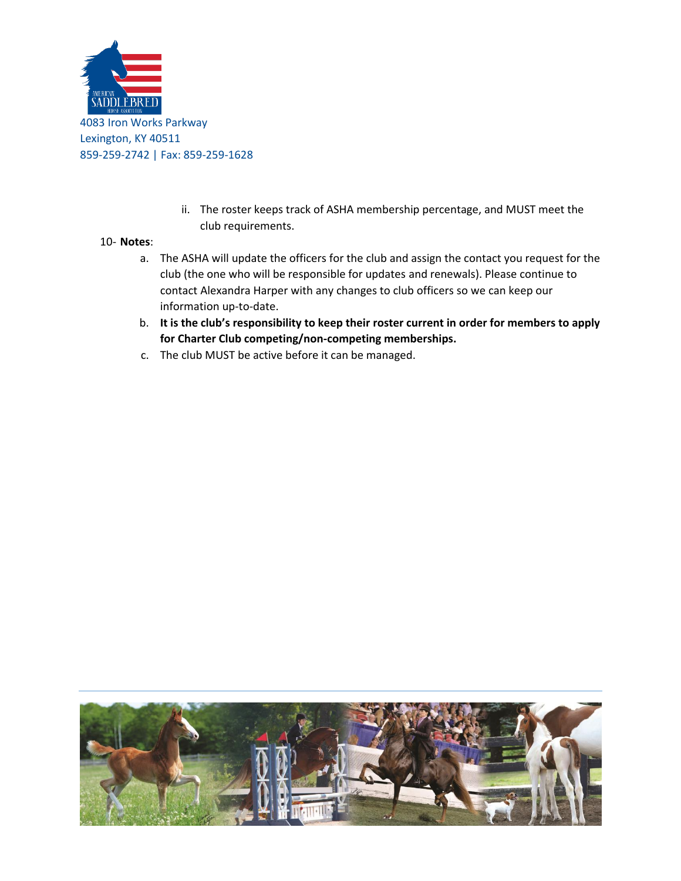

ii. The roster keeps track of ASHA membership percentage, and MUST meet the club requirements.

### 10- **Notes**:

- a. The ASHA will update the officers for the club and assign the contact you request for the club (the one who will be responsible for updates and renewals). Please continue to contact Alexandra Harper with any changes to club officers so we can keep our information up-to-date.
- b. **It is the club's responsibility to keep their roster current in order for members to apply for Charter Club competing/non-competing memberships.**
- c. The club MUST be active before it can be managed.

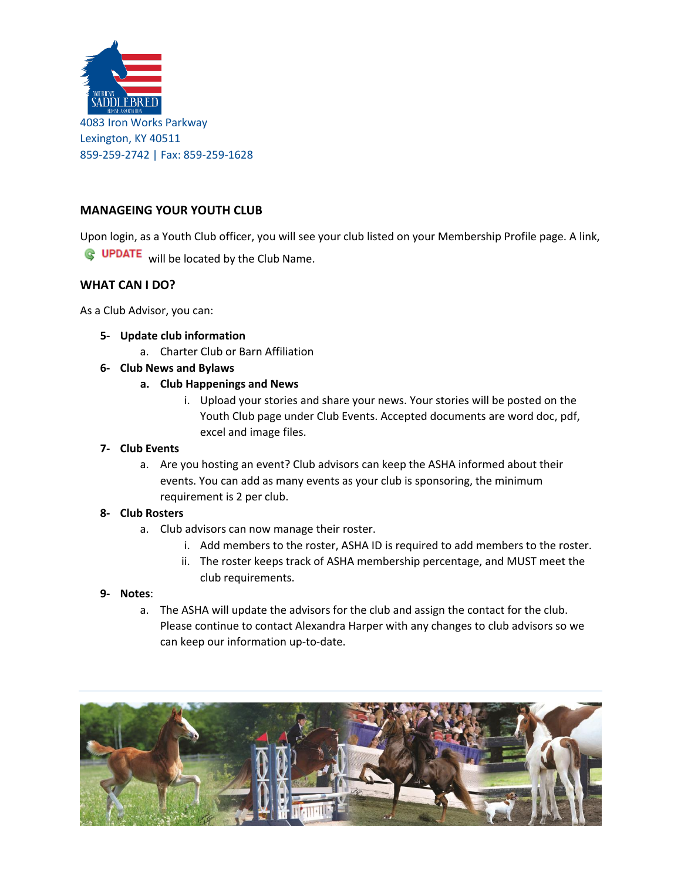

# **MANAGEING YOUR YOUTH CLUB**

Upon login, as a Youth Club officer, you will see your club listed on your Membership Profile page. A link,

**G** UPDATE will be located by the Club Name.

### **WHAT CAN I DO?**

As a Club Advisor, you can:

- **5- Update club information**
	- a. Charter Club or Barn Affiliation
- **6- Club News and Bylaws**
	- **a. Club Happenings and News**
		- i. Upload your stories and share your news. Your stories will be posted on the Youth Club page under Club Events. Accepted documents are word doc, pdf, excel and image files.

#### **7- Club Events**

a. Are you hosting an event? Club advisors can keep the ASHA informed about their events. You can add as many events as your club is sponsoring, the minimum requirement is 2 per club.

#### **8- Club Rosters**

- a. Club advisors can now manage their roster.
	- i. Add members to the roster, ASHA ID is required to add members to the roster.
	- ii. The roster keeps track of ASHA membership percentage, and MUST meet the club requirements.

#### **9- Notes**:

a. The ASHA will update the advisors for the club and assign the contact for the club. Please continue to contact Alexandra Harper with any changes to club advisors so we can keep our information up-to-date.